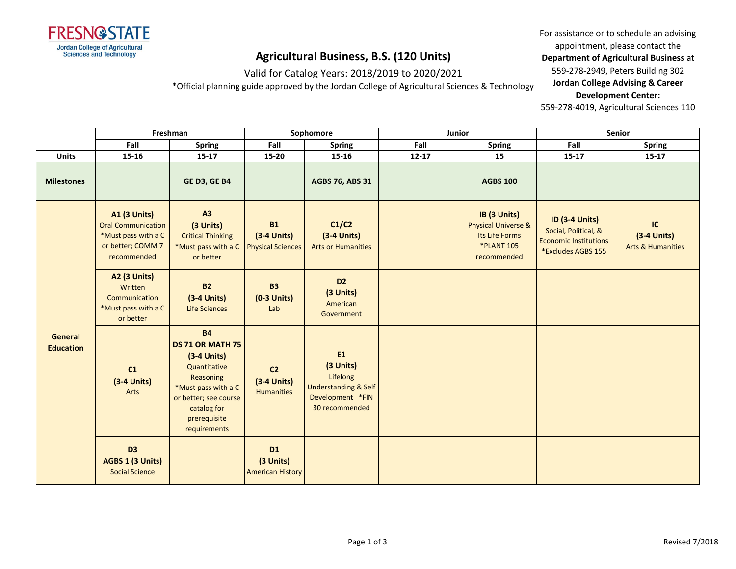

Valid for Catalog Years: 2018/2019 to 2020/2021

\*Official planning guide approved by the Jordan College of Agricultural Sciences & Technology

For assistance or to schedule an advising appointment, please contact the **Department of Agricultural Business** at 559-278-2949, Peters Building 302 **Jordan College Advising & Career Development Center:**

|                                    | Freshman                                                                                             |                                                                                                                                                                                   | Sophomore                                              |                                                                                                                  | Junior    |                                                                                                      | <b>Senior</b>                                                                                       |                                                     |
|------------------------------------|------------------------------------------------------------------------------------------------------|-----------------------------------------------------------------------------------------------------------------------------------------------------------------------------------|--------------------------------------------------------|------------------------------------------------------------------------------------------------------------------|-----------|------------------------------------------------------------------------------------------------------|-----------------------------------------------------------------------------------------------------|-----------------------------------------------------|
|                                    | Fall                                                                                                 | <b>Spring</b>                                                                                                                                                                     | Fall                                                   | <b>Spring</b>                                                                                                    | Fall      | <b>Spring</b>                                                                                        | Fall                                                                                                | <b>Spring</b>                                       |
| <b>Units</b>                       | 15-16                                                                                                | $15 - 17$                                                                                                                                                                         | 15-20                                                  | $15 - 16$                                                                                                        | $12 - 17$ | 15                                                                                                   | $15 - 17$                                                                                           | $15 - 17$                                           |
| <b>Milestones</b>                  |                                                                                                      | <b>GE D3, GE B4</b>                                                                                                                                                               |                                                        | <b>AGBS 76, ABS 31</b>                                                                                           |           | <b>AGBS 100</b>                                                                                      |                                                                                                     |                                                     |
| <b>General</b><br><b>Education</b> | A1 (3 Units)<br><b>Oral Communication</b><br>*Must pass with a C<br>or better; COMM 7<br>recommended | A3<br>(3 Units)<br><b>Critical Thinking</b><br>*Must pass with a C<br>or better                                                                                                   | <b>B1</b><br>$(3-4$ Units)<br><b>Physical Sciences</b> | C1/C2<br>$(3-4$ Units)<br><b>Arts or Humanities</b>                                                              |           | IB (3 Units)<br><b>Physical Universe &amp;</b><br>Its Life Forms<br><b>*PLANT 105</b><br>recommended | <b>ID (3-4 Units)</b><br>Social, Political, &<br><b>Economic Institutions</b><br>*Excludes AGBS 155 | IC<br>$(3-4$ Units)<br><b>Arts &amp; Humanities</b> |
|                                    | <b>A2 (3 Units)</b><br>Written<br>Communication<br>*Must pass with a C<br>or better                  | <b>B2</b><br>$(3-4$ Units)<br><b>Life Sciences</b>                                                                                                                                | <b>B3</b><br>$(0-3$ Units)<br>Lab                      | D <sub>2</sub><br>(3 Units)<br>American<br>Government                                                            |           |                                                                                                      |                                                                                                     |                                                     |
|                                    | C1<br>$(3-4$ Units)<br>Arts                                                                          | <b>B4</b><br><b>DS 71 OR MATH 75</b><br>$(3-4$ Units)<br>Quantitative<br>Reasoning<br>*Must pass with a C<br>or better; see course<br>catalog for<br>prerequisite<br>requirements | C <sub>2</sub><br>$(3-4$ Units)<br><b>Humanities</b>   | E <sub>1</sub><br>(3 Units)<br>Lifelong<br><b>Understanding &amp; Self</b><br>Development *FIN<br>30 recommended |           |                                                                                                      |                                                                                                     |                                                     |
|                                    | D <sub>3</sub><br>AGBS 1 (3 Units)<br><b>Social Science</b>                                          |                                                                                                                                                                                   | <b>D1</b><br>(3 Units)<br><b>American History</b>      |                                                                                                                  |           |                                                                                                      |                                                                                                     |                                                     |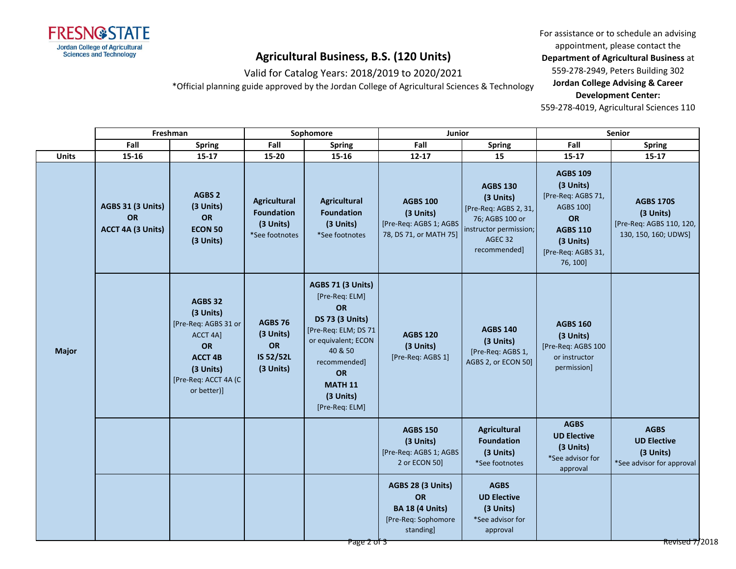

Valid for Catalog Years: 2018/2019 to 2020/2021

\*Official planning guide approved by the Jordan College of Agricultural Sciences & Technology

For assistance or to schedule an advising appointment, please contact the **Department of Agricultural Business** at 559-278-2949, Peters Building 302 **Jordan College Advising & Career Development Center:**

|              | Freshman                                     |                                                                                                                                      | Sophomore                                                        |                                                                                                                                                                                                      | Junior                                                                                |                                                                                                                               | Senior                                                                                                                                  |                                                                                   |
|--------------|----------------------------------------------|--------------------------------------------------------------------------------------------------------------------------------------|------------------------------------------------------------------|------------------------------------------------------------------------------------------------------------------------------------------------------------------------------------------------------|---------------------------------------------------------------------------------------|-------------------------------------------------------------------------------------------------------------------------------|-----------------------------------------------------------------------------------------------------------------------------------------|-----------------------------------------------------------------------------------|
|              | Fall                                         | <b>Spring</b>                                                                                                                        | Fall                                                             | <b>Spring</b>                                                                                                                                                                                        | Fall                                                                                  | <b>Spring</b>                                                                                                                 | Fall                                                                                                                                    | <b>Spring</b>                                                                     |
| <b>Units</b> | 15-16                                        | $15 - 17$                                                                                                                            | 15-20                                                            | $15-16$                                                                                                                                                                                              | $12 - 17$                                                                             | 15                                                                                                                            | $15 - 17$                                                                                                                               | $15 - 17$                                                                         |
| <b>Major</b> | AGBS 31 (3 Units)<br>OR<br>ACCT 4A (3 Units) | AGBS <sub>2</sub><br>(3 Units)<br>OR<br><b>ECON 50</b><br>(3 Units)                                                                  | Agricultural<br><b>Foundation</b><br>(3 Units)<br>*See footnotes | <b>Agricultural</b><br><b>Foundation</b><br>(3 Units)<br>*See footnotes                                                                                                                              | <b>AGBS 100</b><br>(3 Units)<br>[Pre-Req: AGBS 1; AGBS<br>78, DS 71, or MATH 75]      | <b>AGBS 130</b><br>(3 Units)<br>[Pre-Req: AGBS 2, 31,<br>76; AGBS 100 or<br>instructor permission;<br>AGEC 32<br>recommended] | <b>AGBS 109</b><br>(3 Units)<br>[Pre-Req: AGBS 71,<br>AGBS 100]<br>OR<br><b>AGBS 110</b><br>(3 Units)<br>[Pre-Req: AGBS 31,<br>76, 100] | <b>AGBS 170S</b><br>(3 Units)<br>[Pre-Req: AGBS 110, 120,<br>130, 150, 160; UDWS] |
|              |                                              | AGBS 32<br>(3 Units)<br>[Pre-Req: AGBS 31 or<br>ACCT 4A]<br>OR<br><b>ACCT 4B</b><br>(3 Units)<br>[Pre-Req: ACCT 4A (C<br>or better)] | <b>AGBS 76</b><br>(3 Units)<br>OR<br>IS 52/52L<br>(3 Units)      | AGBS 71 (3 Units)<br>[Pre-Req: ELM]<br>OR<br><b>DS 73 (3 Units)</b><br>[Pre-Req: ELM; DS 71<br>or equivalent; ECON<br>40 & 50<br>recommended]<br>OR<br><b>MATH 11</b><br>(3 Units)<br>[Pre-Req: ELM] | <b>AGBS 120</b><br>(3 Units)<br>[Pre-Req: AGBS 1]                                     | <b>AGBS 140</b><br>(3 Units)<br>[Pre-Req: AGBS 1,<br>AGBS 2, or ECON 50]                                                      | <b>AGBS 160</b><br>(3 Units)<br>[Pre-Req: AGBS 100<br>or instructor<br>permission]                                                      |                                                                                   |
|              |                                              |                                                                                                                                      |                                                                  |                                                                                                                                                                                                      | <b>AGBS 150</b><br>(3 Units)<br>[Pre-Req: AGBS 1; AGBS<br>2 or ECON 50]               | <b>Agricultural</b><br><b>Foundation</b><br>(3 Units)<br>*See footnotes                                                       | <b>AGBS</b><br><b>UD Elective</b><br>(3 Units)<br>*See advisor for<br>approval                                                          | <b>AGBS</b><br><b>UD Elective</b><br>(3 Units)<br>*See advisor for approval       |
|              |                                              |                                                                                                                                      |                                                                  |                                                                                                                                                                                                      | AGBS 28 (3 Units)<br>OR<br><b>BA 18 (4 Units)</b><br>[Pre-Req: Sophomore<br>standing] | <b>AGBS</b><br><b>UD Elective</b><br>(3 Units)<br>*See advisor for<br>approval                                                |                                                                                                                                         |                                                                                   |
|              |                                              |                                                                                                                                      |                                                                  | Page 2 of 3                                                                                                                                                                                          |                                                                                       |                                                                                                                               |                                                                                                                                         | Revised $7/2018$                                                                  |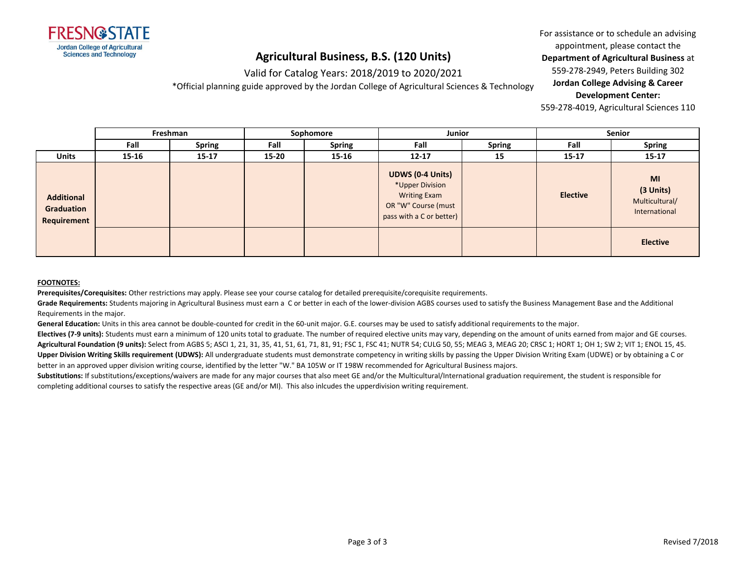

### Valid for Catalog Years: 2018/2019 to 2020/2021

\*Official planning guide approved by the Jordan College of Agricultural Sciences & Technology

For assistance or to schedule an advising appointment, please contact the **Department of Agricultural Business** at 559-278-2949, Peters Building 302 **Jordan College Advising & Career Development Center:**

559-278-4019, Agricultural Sciences 110

|                                                | Freshman |               | Sophomore |               | Junior                                                                                                               |               | <b>Senior</b>   |                                                    |
|------------------------------------------------|----------|---------------|-----------|---------------|----------------------------------------------------------------------------------------------------------------------|---------------|-----------------|----------------------------------------------------|
|                                                | Fall     | <b>Spring</b> | Fall      | <b>Spring</b> | Fall                                                                                                                 | <b>Spring</b> | Fall            | <b>Spring</b>                                      |
| <b>Units</b>                                   | 15-16    | $15 - 17$     | 15-20     | 15-16         | $12 - 17$                                                                                                            | 15            | $15 - 17$       | $15 - 17$                                          |
| <b>Additional</b><br>Graduation<br>Requirement |          |               |           |               | <b>UDWS (0-4 Units)</b><br>*Upper Division<br><b>Writing Exam</b><br>OR "W" Course (must<br>pass with a C or better) |               | <b>Elective</b> | MI<br>(3 Units)<br>Multicultural/<br>International |
|                                                |          |               |           |               |                                                                                                                      |               |                 | <b>Elective</b>                                    |

#### **FOOTNOTES:**

**Prerequisites/Corequisites:** Other restrictions may apply. Please see your course catalog for detailed prerequisite/corequisite requirements.

Grade Requirements: Students majoring in Agricultural Business must earn a C or better in each of the lower-division AGBS courses used to satisfy the Business Management Base and the Additional Requirements in the major.

**General Education:** Units in this area cannot be double-counted for credit in the 60-unit major. G.E. courses may be used to satisfy additional requirements to the major.

**Electives (7-9 units):** Students must earn a minimum of 120 units total to graduate. The number of required elective units may vary, depending on the amount of units earned from major and GE courses. **Agricultural Foundation (9 units):** Select from AGBS 5; ASCI 1, 21, 31, 35, 41, 51, 61, 71, 81, 91; FSC 1, FSC 41; NUTR 54; CULG 50, 55; MEAG 3, MEAG 20; CRSC 1; HORT 1; OH 1; SW 2; VIT 1; ENOL 15, 45. **Upper Division Writing Skills requirement (UDWS):** All undergraduate students must demonstrate competency in writing skills by passing the Upper Division Writing Exam (UDWE) or by obtaining a C or better in an approved upper division writing course, identified by the letter "W." BA 105W or IT 198W recommended for Agricultural Business majors.

Substitutions: If substitutions/exceptions/waivers are made for any major courses that also meet GE and/or the Multicultural/International graduation requirement, the student is responsible for completing additional courses to satisfy the respective areas (GE and/or MI). This also inlcudes the upperdivision writing requirement.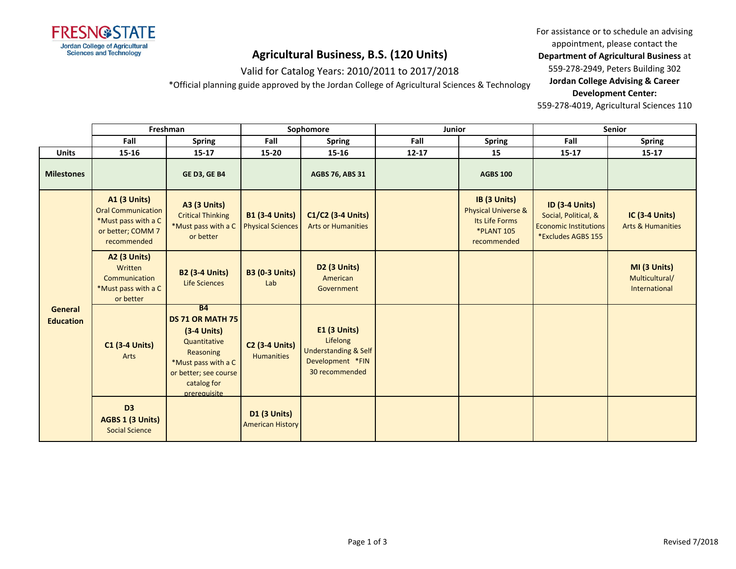

Valid for Catalog Years: 2010/2011 to 2017/2018

\*Official planning guide approved by the Jordan College of Agricultural Sciences & Technology

For assistance or to schedule an advising appointment, please contact the **Department of Agricultural Business** at 559-278-2949, Peters Building 302 **Jordan College Advising & Career Development Center:**

|                             | Freshman                                                                                                    |                                                                                                                                                                          | Sophomore                                         |                                                                                                     | Junior    |                                                                                                      | Senior                                                                                              |                                                       |
|-----------------------------|-------------------------------------------------------------------------------------------------------------|--------------------------------------------------------------------------------------------------------------------------------------------------------------------------|---------------------------------------------------|-----------------------------------------------------------------------------------------------------|-----------|------------------------------------------------------------------------------------------------------|-----------------------------------------------------------------------------------------------------|-------------------------------------------------------|
|                             | Fall                                                                                                        | <b>Spring</b>                                                                                                                                                            | Fall                                              | <b>Spring</b>                                                                                       | Fall      | <b>Spring</b>                                                                                        | Fall                                                                                                | <b>Spring</b>                                         |
| <b>Units</b>                | 15-16                                                                                                       | $15 - 17$                                                                                                                                                                | $15 - 20$                                         | 15-16                                                                                               | $12 - 17$ | 15                                                                                                   | $15 - 17$                                                                                           | $15 - 17$                                             |
| <b>Milestones</b>           |                                                                                                             | <b>GE D3, GE B4</b>                                                                                                                                                      |                                                   | <b>AGBS 76, ABS 31</b>                                                                              |           | <b>AGBS 100</b>                                                                                      |                                                                                                     |                                                       |
| General<br><b>Education</b> | <b>A1 (3 Units)</b><br><b>Oral Communication</b><br>*Must pass with a C<br>or better; COMM 7<br>recommended | <b>A3 (3 Units)</b><br><b>Critical Thinking</b><br>*Must pass with a C<br>or better                                                                                      | <b>B1 (3-4 Units)</b><br><b>Physical Sciences</b> | C1/C2 (3-4 Units)<br><b>Arts or Humanities</b>                                                      |           | IB (3 Units)<br><b>Physical Universe &amp;</b><br>Its Life Forms<br><b>*PLANT 105</b><br>recommended | <b>ID (3-4 Units)</b><br>Social, Political, &<br><b>Economic Institutions</b><br>*Excludes AGBS 155 | <b>IC (3-4 Units)</b><br><b>Arts &amp; Humanities</b> |
|                             | <b>A2 (3 Units)</b><br>Written<br>Communication<br>*Must pass with a C<br>or better                         | <b>B2 (3-4 Units)</b><br><b>Life Sciences</b>                                                                                                                            | <b>B3 (0-3 Units)</b><br>Lab                      | D2 (3 Units)<br>American<br>Government                                                              |           |                                                                                                      |                                                                                                     | MI (3 Units)<br>Multicultural/<br>International       |
|                             | <b>C1 (3-4 Units)</b><br>Arts                                                                               | <b>B4</b><br><b>DS 71 OR MATH 75</b><br>$(3-4$ Units)<br>Quantitative<br><b>Reasoning</b><br>*Must pass with a C<br>or better; see course<br>catalog for<br>prerequisite | <b>C2 (3-4 Units)</b><br><b>Humanities</b>        | $E1$ (3 Units)<br>Lifelong<br><b>Understanding &amp; Self</b><br>Development *FIN<br>30 recommended |           |                                                                                                      |                                                                                                     |                                                       |
|                             | D <sub>3</sub><br>AGBS 1 (3 Units)<br><b>Social Science</b>                                                 |                                                                                                                                                                          | <b>D1 (3 Units)</b><br><b>American History</b>    |                                                                                                     |           |                                                                                                      |                                                                                                     |                                                       |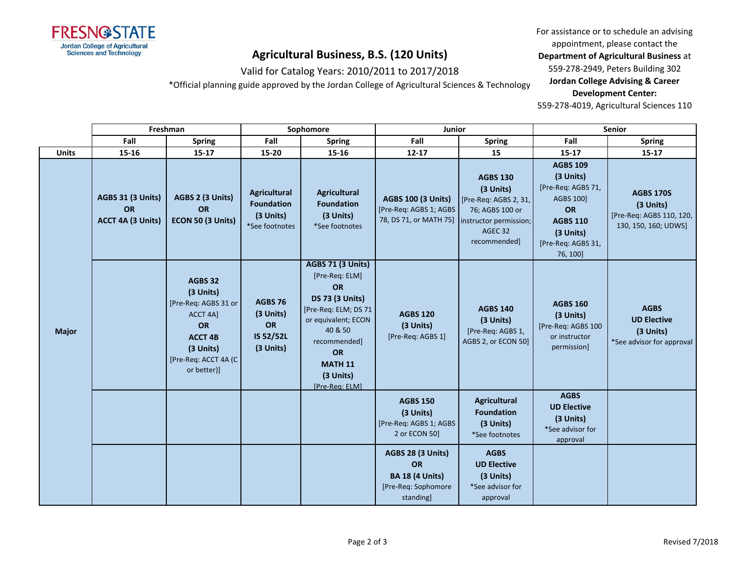

Valid for Catalog Years: 2010/2011 to 2017/2018

\*Official planning guide approved by the Jordan College of Agricultural Sciences & Technology

For assistance or to schedule an advising appointment, please contact the **Department of Agricultural Business** at 559-278-2949, Peters Building 302 **Jordan College Advising & Career Development Center:**

|              | Freshman                                                   |                                                                                                                                                           | Sophomore                                                               |                                                                                                                                                                                                                           | Junior                                                                                       |                                                                                                                               | Senior                                                                                                                                         |                                                                                   |
|--------------|------------------------------------------------------------|-----------------------------------------------------------------------------------------------------------------------------------------------------------|-------------------------------------------------------------------------|---------------------------------------------------------------------------------------------------------------------------------------------------------------------------------------------------------------------------|----------------------------------------------------------------------------------------------|-------------------------------------------------------------------------------------------------------------------------------|------------------------------------------------------------------------------------------------------------------------------------------------|-----------------------------------------------------------------------------------|
|              | Fall                                                       | <b>Spring</b>                                                                                                                                             | Fall                                                                    | <b>Spring</b>                                                                                                                                                                                                             | Fall                                                                                         | <b>Spring</b>                                                                                                                 | Fall                                                                                                                                           | <b>Spring</b>                                                                     |
| Units        | 15-16                                                      | $15 - 17$                                                                                                                                                 | 15-20                                                                   | 15-16                                                                                                                                                                                                                     | $12 - 17$                                                                                    | 15                                                                                                                            | $15 - 17$                                                                                                                                      | $15 - 17$                                                                         |
|              | <b>AGBS 31 (3 Units)</b><br><b>OR</b><br>ACCT 4A (3 Units) | AGBS 2 (3 Units)<br>OR<br>ECON 50 (3 Units)                                                                                                               | <b>Agricultural</b><br><b>Foundation</b><br>(3 Units)<br>*See footnotes | <b>Agricultural</b><br><b>Foundation</b><br>(3 Units)<br>*See footnotes                                                                                                                                                   | <b>AGBS 100 (3 Units)</b><br>[Pre-Req: AGBS 1; AGBS<br>78, DS 71, or MATH 75]                | <b>AGBS 130</b><br>(3 Units)<br>[Pre-Req: AGBS 2, 31,<br>76; AGBS 100 or<br>instructor permission;<br>AGEC 32<br>recommended] | <b>AGBS 109</b><br>(3 Units)<br>[Pre-Req: AGBS 71,<br><b>AGBS 100]</b><br>OR<br><b>AGBS 110</b><br>(3 Units)<br>[Pre-Req: AGBS 31,<br>76, 100] | <b>AGBS 170S</b><br>(3 Units)<br>[Pre-Req: AGBS 110, 120,<br>130, 150, 160; UDWS] |
| <b>Major</b> |                                                            | <b>AGBS 32</b><br>(3 Units)<br>[Pre-Req: AGBS 31 or<br><b>ACCT 4A1</b><br><b>OR</b><br><b>ACCT 4B</b><br>(3 Units)<br>[Pre-Req: ACCT 4A (C<br>or better)] | <b>AGBS 76</b><br>(3 Units)<br>OR<br>IS 52/52L<br>(3 Units)             | <b>AGBS 71 (3 Units)</b><br>[Pre-Req: ELM]<br><b>OR</b><br><b>DS 73 (3 Units)</b><br>[Pre-Req: ELM; DS 71<br>or equivalent; ECON<br>40 & 50<br>recommended]<br><b>OR</b><br><b>MATH 11</b><br>(3 Units)<br>[Pre-Reg: ELM] | <b>AGBS 120</b><br>(3 Units)<br>[Pre-Req: AGBS 1]                                            | <b>AGBS 140</b><br>(3 Units)<br>[Pre-Req: AGBS 1,<br>AGBS 2, or ECON 50]                                                      | <b>AGBS 160</b><br>(3 Units)<br>[Pre-Req: AGBS 100<br>or instructor<br>permission]                                                             | <b>AGBS</b><br><b>UD Elective</b><br>(3 Units)<br>*See advisor for approval       |
|              |                                                            |                                                                                                                                                           |                                                                         |                                                                                                                                                                                                                           | <b>AGBS 150</b><br>(3 Units)<br>[Pre-Req: AGBS 1; AGBS<br>2 or ECON 50]                      | <b>Agricultural</b><br><b>Foundation</b><br>(3 Units)<br>*See footnotes                                                       | <b>AGBS</b><br><b>UD Elective</b><br>(3 Units)<br>*See advisor for<br>approval                                                                 |                                                                                   |
|              |                                                            |                                                                                                                                                           |                                                                         |                                                                                                                                                                                                                           | AGBS 28 (3 Units)<br><b>OR</b><br><b>BA 18 (4 Units)</b><br>[Pre-Req: Sophomore<br>standing] | <b>AGBS</b><br><b>UD Elective</b><br>(3 Units)<br>*See advisor for<br>approval                                                |                                                                                                                                                |                                                                                   |